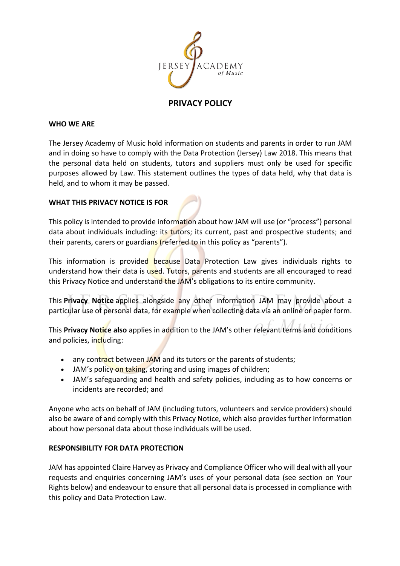

# **PRIVACY POLICY**

#### **WHO WE ARE**

The Jersey Academy of Music hold information on students and parents in order to run JAM and in doing so have to comply with the Data Protection (Jersey) Law 2018. This means that the personal data held on students, tutors and suppliers must only be used for specific purposes allowed by Law. This statement outlines the types of data held, why that data is held, and to whom it may be passed.

#### **WHAT THIS PRIVACY NOTICE IS FOR**

This policy is intended to provide information about how JAM will use (or "process") personal data about individuals including; its tutors; its current, past and prospective students; and their parents, carers or guardians (referred to in this policy as "parents").

This information is provided because Data Protection Law gives individuals rights to understand how their data is used. Tutors, parents and students are all encouraged to read this Privacy Notice and understand the JAM's obligations to its entire community.

This **Privacy Notice** applies alongside any other information JAM may provide about a particular use of personal data, for example when collecting data via an online or paper form.

This **Privacy Notice also** applies in addition to the JAM's other relevant terms and conditions and policies, including:

- any contract between JAM and its tutors or the parents of students;
- JAM's policy on taking, storing and using images of children;
- JAM's safeguarding and health and safety policies, including as to how concerns or incidents are recorded; and

Anyone who acts on behalf of JAM (including tutors, volunteers and service providers) should also be aware of and comply with this Privacy Notice, which also provides further information about how personal data about those individuals will be used.

### **RESPONSIBILITY FOR DATA PROTECTION**

JAM has appointed Claire Harvey as Privacy and Compliance Officer who will deal with all your requests and enquiries concerning JAM's uses of your personal data (see section on Your Rights below) and endeavour to ensure that all personal data is processed in compliance with this policy and Data Protection Law.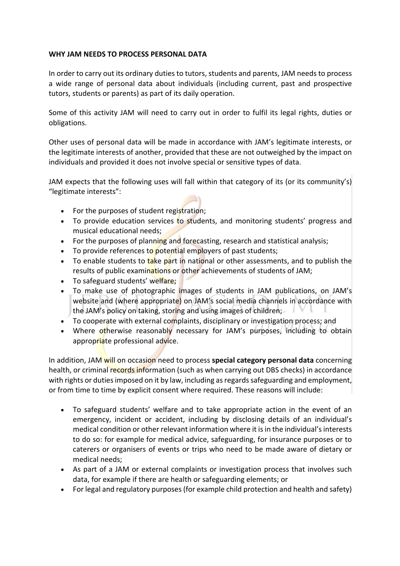# **WHY JAM NEEDS TO PROCESS PERSONAL DATA**

In order to carry out its ordinary duties to tutors, students and parents, JAM needs to process a wide range of personal data about individuals (including current, past and prospective tutors, students or parents) as part of its daily operation.

Some of this activity JAM will need to carry out in order to fulfil its legal rights, duties or obligations.

Other uses of personal data will be made in accordance with JAM's legitimate interests, or the legitimate interests of another, provided that these are not outweighed by the impact on individuals and provided it does not involve special or sensitive types of data.

JAM expects that the following uses will fall within that category of its (or its community's) "legitimate interests":

- For the purposes of student registration;
- To provide education services to students, and monitoring students' progress and musical educational needs;
- For the purposes of planning and forecasting, research and statistical analysis;
- To provide references to potential employers of past students;
- To enable students to take part in national or other assessments, and to publish the results of public examinations or other achievements of students of JAM;
- To safeguard students' welfare;
- To make use of photographic images of students in JAM publications, on JAM's website and (where appropriate) on JAM's social media channels in accordance with the JAM's policy on taking, storing and using images of children;
- To cooperate with external complaints, disciplinary or investigation process; and
- Where otherwise reasonably necessary for JAM's purposes, including to obtain appropriate professional advice.

In addition, JAM will on occasion need to process **special category personal data** concerning health, or criminal records information (such as when carrying out DBS checks) in accordance with rights or duties imposed on it by law, including as regards safeguarding and employment, or from time to time by explicit consent where required. These reasons will include:

- To safeguard students' welfare and to take appropriate action in the event of an emergency, incident or accident, including by disclosing details of an individual's medical condition or other relevant information where it is in the individual's interests to do so: for example for medical advice, safeguarding, for insurance purposes or to caterers or organisers of events or trips who need to be made aware of dietary or medical needs;
- As part of a JAM or external complaints or investigation process that involves such data, for example if there are health or safeguarding elements; or
- For legal and regulatory purposes (for example child protection and health and safety)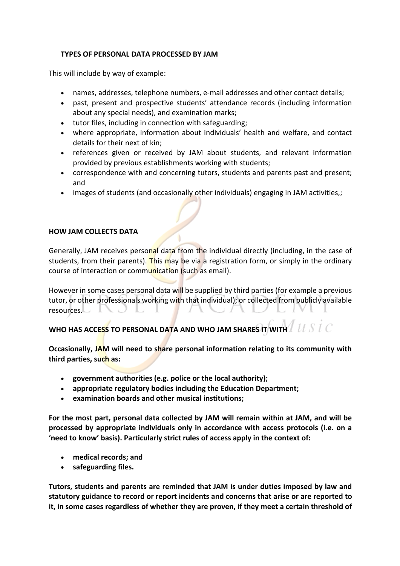# **TYPES OF PERSONAL DATA PROCESSED BY JAM**

This will include by way of example:

- names, addresses, telephone numbers, e-mail addresses and other contact details;
- past, present and prospective students' attendance records (including information about any special needs), and examination marks;
- tutor files, including in connection with safeguarding;
- where appropriate, information about individuals' health and welfare, and contact details for their next of kin;
- references given or received by JAM about students, and relevant information provided by previous establishments working with students;
- correspondence with and concerning tutors, students and parents past and present; and
- images of students (and occasionally other individuals) engaging in JAM activities,;

# **HOW JAM COLLECTS DATA**

Generally, JAM receives personal data from the individual directly (including, in the case of students, from their parents). This may be via a registration form, or simply in the ordinary course of interaction or communication (such as email).

However in some cases personal data will be supplied by third parties (for example a previous tutor, or other professionals working with that individual); or collected from publicly available resources. ヽ し し 」 マラノ

**WHO HAS ACCESS TO PERSONAL DATA AND WHO JAM SHARES IT WITH**

**Occasionally, JAM will need to share personal information relating to its community with third parties, such as:**

- **government authorities (e.g. police or the local authority);**
- **appropriate regulatory bodies including the Education Department;**
- **examination boards and other musical institutions;**

**For the most part, personal data collected by JAM will remain within at JAM, and will be processed by appropriate individuals only in accordance with access protocols (i.e. on a 'need to know' basis). Particularly strict rules of access apply in the context of:**

- **medical records; and**
- **safeguarding files.**

**Tutors, students and parents are reminded that JAM is under duties imposed by law and statutory guidance to record or report incidents and concerns that arise or are reported to it, in some cases regardless of whether they are proven, if they meet a certain threshold of**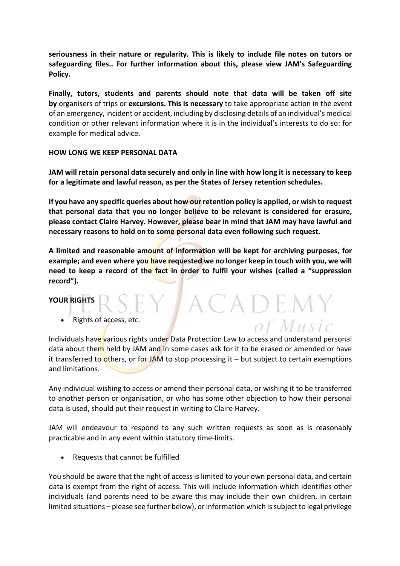**seriousness in their nature or regularity. This is likely to include file notes on tutors or safeguarding files.. For further information about this, please view JAM's Safeguarding Policy.**

**Finally, tutors, students and parents should note that data will be taken off site by** organisers of trips or **excursions. This is necessary** to take appropriate action in the event of an emergency, incident or accident, including by disclosing details of an individual's medical condition or other relevant information where it is in the individual's interests to do so: for example for medical advice.

### **HOW LONG WE KEEP PERSONAL DATA**

**JAM will retain personal data securely and only in line with how long it is necessary to keep for a legitimate and lawful reason, as per the States of Jersey retention schedules.**

**If you have any specific queries about how our retention policy is applied, or wish to request that personal data that you no longer believe to be relevant is considered for erasure, please contact Claire Harvey. However, please bear in mind that JAM may have lawful and necessary reasons to hold on to some personal data even following such request.**

**A limited and reasonable amount of information will be kept for archiving purposes, for example; and even where you have requested we no longer keep in touch with you, we will need to keep a record of the fact in order to fulfil your wishes (called a "suppression record").**

' A C A D E M Y

of Music

### **YOUR RIGHTS**

Rights of access, etc.

Individuals have various rights under Data Protection Law to access and understand personal data about them held by JAM and in some cases ask for it to be erased or amended or have it transferred to others, or for JAM to stop processing it  $-$  but subject to certain exemptions and limitations.

Any individual wishing to access or amend their personal data, or wishing it to be transferred to another person or organisation, or who has some other objection to how their personal data is used, should put their request in writing to Claire Harvey.

JAM will endeavour to respond to any such written requests as soon as is reasonably practicable and in any event within statutory time-limits.

• Requests that cannot be fulfilled

You should be aware that the right of access is limited to your own personal data, and certain data is exempt from the right of access. This will include information which identifies other individuals (and parents need to be aware this may include their own children, in certain limited situations – please see further below), or information which is subject to legal privilege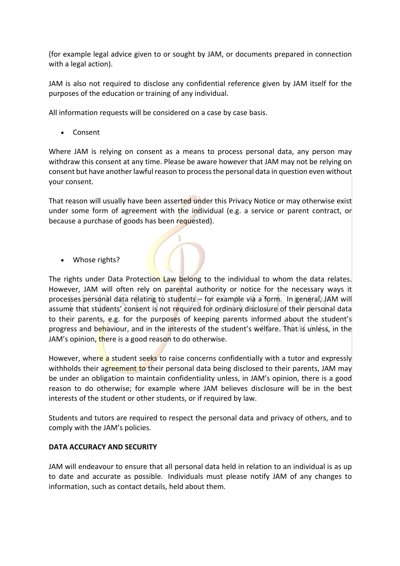(for example legal advice given to or sought by JAM, or documents prepared in connection with a legal action).

JAM is also not required to disclose any confidential reference given by JAM itself for the purposes of the education or training of any individual.

All information requests will be considered on a case by case basis.

• Consent

Where JAM is relying on consent as a means to process personal data, any person may withdraw this consent at any time. Please be aware however that JAM may not be relying on consent but have another lawful reason to process the personal data in question even without your consent.

That reason will usually have been asserted under this Privacy Notice or may otherwise exist under some form of agreement with the individual (e.g. a service or parent contract, or because a purchase of goods has been requested).

• Whose rights?

The rights under Data Protection Law belong to the individual to whom the data relates. However, JAM will often rely on parental authority or notice for the necessary ways it processes personal data relating to students – for example via a form. In general, JAM will assume that students' consent is not required for ordinary disclosure of their personal data to their parents, e.g. for the purposes of keeping parents informed about the student's progress and behaviour, and in the interests of the student's welfare. That is unless, in the JAM's opinion, there is a good reason to do otherwise.

However, where a student seeks to raise concerns confidentially with a tutor and expressly withholds their agreement to their personal data being disclosed to their parents, JAM may be under an obligation to maintain confidentiality unless, in JAM's opinion, there is a good reason to do otherwise; for example where JAM believes disclosure will be in the best interests of the student or other students, or if required by law.

Students and tutors are required to respect the personal data and privacy of others, and to comply with the JAM's policies.

# **DATA ACCURACY AND SECURITY**

JAM will endeavour to ensure that all personal data held in relation to an individual is as up to date and accurate as possible. Individuals must please notify JAM of any changes to information, such as contact details, held about them.